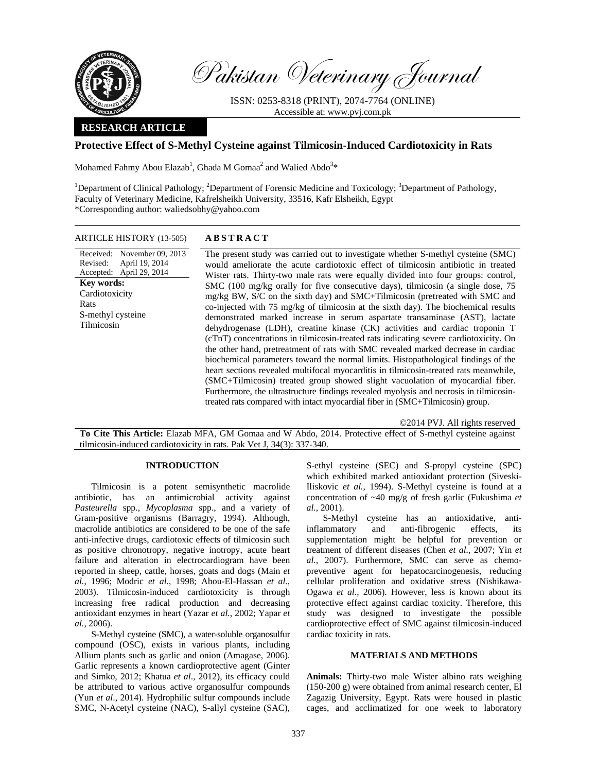

Pakistan Veterinary Journal

ISSN: 0253-8318 (PRINT), 2074-7764 (ONLINE) Accessible at: www.pvj.com.pk

## **RESEARCH ARTICLE**

## **Protective Effect of S-Methyl Cysteine against Tilmicosin-Induced Cardiotoxicity in Rats**

Mohamed Fahmy Abou Elazab<sup>1</sup>, Ghada M Gomaa<sup>2</sup> and Walied Abdo<sup>3\*</sup>

<sup>1</sup>Department of Clinical Pathology; <sup>2</sup>Department of Forensic Medicine and Toxicology; <sup>3</sup>Department of Pathology, Faculty of Veterinary Medicine, Kafrelsheikh University, 33516, Kafr Elsheikh, Egypt \*Corresponding author: waliedsobhy@yahoo.com

## ARTICLE HISTORY (13-505) **ABSTRACT**

Received: November 09, 2013 Revised: Accepted: April 29, 2014 April 19, 2014 **Key words:**  Cardiotoxicity Rats S-methyl cysteine Tilmicosin

 The present study was carried out to investigate whether S-methyl cysteine (SMC) would ameliorate the acute cardiotoxic effect of tilmicosin antibiotic in treated Wister rats. Thirty-two male rats were equally divided into four groups: control, SMC (100 mg/kg orally for five consecutive days), tilmicosin (a single dose, 75 mg/kg BW, S/C on the sixth day) and SMC+Tilmicosin (pretreated with SMC and co-injected with 75 mg/kg of tilmicosin at the sixth day). The biochemical results demonstrated marked increase in serum aspartate transaminase (AST), lactate dehydrogenase (LDH), creatine kinase (CK) activities and cardiac troponin T (cTnT) concentrations in tilmicosin-treated rats indicating severe cardiotoxicity. On the other hand, pretreatment of rats with SMC revealed marked decrease in cardiac biochemical parameters toward the normal limits. Histopathological findings of the heart sections revealed multifocal myocarditis in tilmicosin-treated rats meanwhile, (SMC+Tilmicosin) treated group showed slight vacuolation of myocardial fiber. Furthermore, the ultrastructure findings revealed myolysis and necrosis in tilmicosintreated rats compared with intact myocardial fiber in (SMC+Tilmicosin) group.

©2014 PVJ. All rights reserved

**To Cite This Article:** Elazab MFA, GM Gomaa and W Abdo, 2014. Protective effect of S-methyl cysteine against tilmicosin-induced cardiotoxicity in rats. Pak Vet J, 34(3): 337-340.

#### **INTRODUCTION**

Tilmicosin is a potent semisynthetic macrolide antibiotic, has an antimicrobial activity against *Pasteurella* spp., *Mycoplasma* spp., and a variety of Gram-positive organisms (Barragry, 1994). Although, macrolide antibiotics are considered to be one of the safe anti-infective drugs, cardiotoxic effects of tilmicosin such as positive chronotropy, negative inotropy, acute heart failure and alteration in electrocardiogram have been reported in sheep, cattle, horses, goats and dogs (Main *et al.*, 1996; Modric *et al.*, 1998; Abou-El-Hassan *et al.*, 2003). Tilmicosin-induced cardiotoxicity is through increasing free radical production and decreasing antioxidant enzymes in heart (Yazar *et al.*, 2002; Yapar *et al.*, 2006).

S-Methyl cysteine (SMC), a water-soluble organosulfur compound (OSC), exists in various plants, including Allium plants such as garlic and onion (Amagase, 2006). Garlic represents a known cardioprotective agent (Ginter and Simko, 2012; Khatua *et al*., 2012), its efficacy could be attributed to various active organosulfur compounds (Yun *et al*., 2014). Hydrophilic sulfur compounds include SMC, N-Acetyl cysteine (NAC), S-allyl cysteine (SAC), S-ethyl cysteine (SEC) and S-propyl cysteine (SPC) which exhibited marked antioxidant protection (Siveski-Iliskovic *et al.*, 1994). S-Methyl cysteine is found at a concentration of ~40 mg/g of fresh garlic (Fukushima *et al.*, 2001).

S-Methyl cysteine has an antioxidative, antiinflammatory and anti-fibrogenic effects, its supplementation might be helpful for prevention or treatment of different diseases (Chen *et al.*, 2007; Yin *et al.*, 2007). Furthermore, SMC can serve as chemopreventive agent for hepatocarcinogenesis, reducing cellular proliferation and oxidative stress (Nishikawa-Ogawa *et al.*, 2006). However, less is known about its protective effect against cardiac toxicity. Therefore, this study was designed to investigate the possible cardioprotective effect of SMC against tilmicosin-induced cardiac toxicity in rats.

#### **MATERIALS AND METHODS**

**Animals:** Thirty-two male Wister albino rats weighing (150-200 g) were obtained from animal research center, El Zagazig University, Egypt. Rats were housed in plastic cages, and acclimatized for one week to laboratory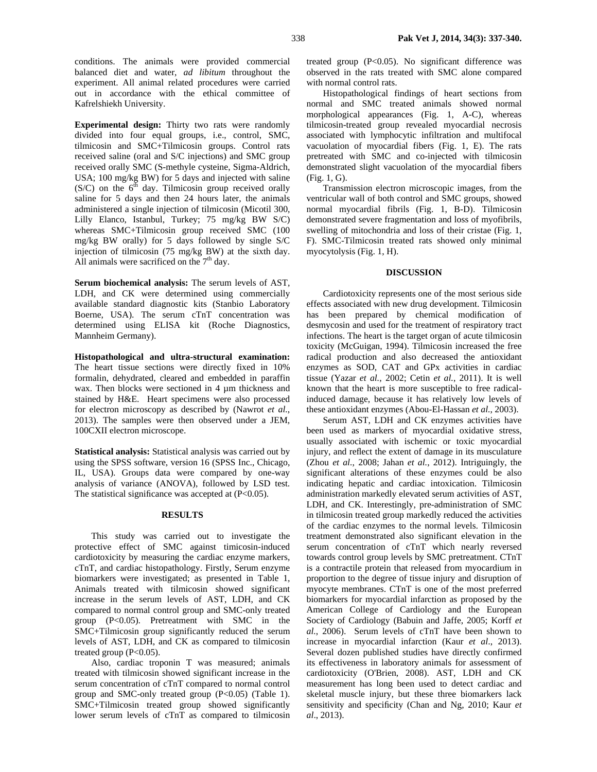conditions. The animals were provided commercial balanced diet and water, *ad libitum* throughout the experiment. All animal related procedures were carried out in accordance with the ethical committee of Kafrelshiekh University.

**Experimental design:** Thirty two rats were randomly divided into four equal groups, i.e., control, SMC, tilmicosin and SMC+Tilmicosin groups. Control rats received saline (oral and S/C injections) and SMC group received orally SMC (S-methyle cysteine, Sigma-Aldrich, USA; 100 mg/kg BW) for 5 days and injected with saline  $(S/C)$  on the 6<sup>th</sup> day. Tilmicosin group received orally saline for 5 days and then 24 hours later, the animals administered a single injection of tilmicosin (Micotil 300, Lilly Elanco, Istanbul, Turkey; 75 mg/kg BW S/C) whereas SMC+Tilmicosin group received SMC (100 mg/kg BW orally) for 5 days followed by single S/C injection of tilmicosin (75 mg/kg BW) at the sixth day. All animals were sacrificed on the  $7<sup>th</sup>$  day.

**Serum biochemical analysis:** The serum levels of AST, LDH, and CK were determined using commercially available standard diagnostic kits (Stanbio Laboratory Boerne, USA). The serum cTnT concentration was determined using ELISA kit (Roche Diagnostics, Mannheim Germany).

**Histopathological and ultra-structural examination:**  The heart tissue sections were directly fixed in 10% formalin, dehydrated, cleared and embedded in paraffin wax. Then blocks were sectioned in 4  $\mu$ m thickness and stained by H&E. Heart specimens were also processed for electron microscopy as described by (Nawrot *et al.*, 2013). The samples were then observed under a JEM, 100CXII electron microscope.

**Statistical analysis:** Statistical analysis was carried out by using the SPSS software, version 16 (SPSS Inc., Chicago, IL, USA). Groups data were compared by one-way analysis of variance (ANOVA), followed by LSD test. The statistical significance was accepted at  $(P<0.05)$ .

# **RESULTS**

This study was carried out to investigate the protective effect of SMC against timicosin-induced cardiotoxicity by measuring the cardiac enzyme markers, cTnT, and cardiac histopathology. Firstly, Serum enzyme biomarkers were investigated; as presented in Table 1, Animals treated with tilmicosin showed significant increase in the serum levels of AST, LDH, and CK compared to normal control group and SMC-only treated group (P<0.05). Pretreatment with SMC in the SMC+Tilmicosin group significantly reduced the serum levels of AST, LDH, and CK as compared to tilmicosin treated group  $(P<0.05)$ .

Also, cardiac troponin T was measured; animals treated with tilmicosin showed significant increase in the serum concentration of cTnT compared to normal control group and SMC-only treated group (P<0.05) (Table 1). SMC+Tilmicosin treated group showed significantly lower serum levels of cTnT as compared to tilmicosin

treated group  $(P<0.05)$ . No significant difference was observed in the rats treated with SMC alone compared with normal control rats.

Histopathological findings of heart sections from normal and SMC treated animals showed normal morphological appearances (Fig. 1, A-C), whereas tilmicosin-treated group revealed myocardial necrosis associated with lymphocytic infiltration and multifocal vacuolation of myocardial fibers (Fig. 1, E). The rats pretreated with SMC and co-injected with tilmicosin demonstrated slight vacuolation of the myocardial fibers (Fig. 1, G).

Transmission electron microscopic images, from the ventricular wall of both control and SMC groups, showed normal myocardial fibrils (Fig. 1, B-D). Tilmicosin demonstrated severe fragmentation and loss of myofibrils, swelling of mitochondria and loss of their cristae (Fig. 1, F). SMC*-*Tilmicosin treated rats showed only minimal myocytolysis (Fig. 1, H).

### **DISCUSSION**

Cardiotoxicity represents one of the most serious side effects associated with new drug development. Tilmicosin has been prepared by chemical modification of desmycosin and used for the treatment of respiratory tract infections. The heart is the target organ of acute tilmicosin toxicity (McGuigan, 1994). Tilmicosin increased the free radical production and also decreased the antioxidant enzymes as SOD, CAT and GPx activities in cardiac tissue (Yazar *et al.*, 2002; Cetin *et al.*, 2011). It is well known that the heart is more susceptible to free radicalinduced damage, because it has relatively low levels of these antioxidant enzymes (Abou-El-Hassan *et al.*, 2003).

Serum AST, LDH and CK enzymes activities have been used as markers of myocardial oxidative stress, usually associated with ischemic or toxic myocardial injury, and reflect the extent of damage in its musculature (Zhou *et al.*, 2008; Jahan *et al.*, 2012). Intriguingly, the significant alterations of these enzymes could be also indicating hepatic and cardiac intoxication. Tilmicosin administration markedly elevated serum activities of AST, LDH, and CK. Interestingly, pre-administration of SMC in tilmicosin treated group markedly reduced the activities of the cardiac enzymes to the normal levels. Tilmicosin treatment demonstrated also significant elevation in the serum concentration of cTnT which nearly reversed towards control group levels by SMC pretreatment. CTnT is a contractile protein that released from myocardium in proportion to the degree of tissue injury and disruption of myocyte membranes. CTnT is one of the most preferred biomarkers for myocardial infarction as proposed by the American College of Cardiology and the European Society of Cardiology (Babuin and Jaffe, 2005; Korff *et al.*, 2006). Serum levels of cTnT have been shown to increase in myocardial infarction (Kaur *et al*., 2013). Several dozen published studies have directly confirmed its effectiveness in laboratory animals for assessment of cardiotoxicity (O'Brien, 2008). AST, LDH and CK measurement has long been used to detect cardiac and skeletal muscle injury, but these three biomarkers lack sensitivity and specificity (Chan and Ng, 2010; Kaur *et al*., 2013).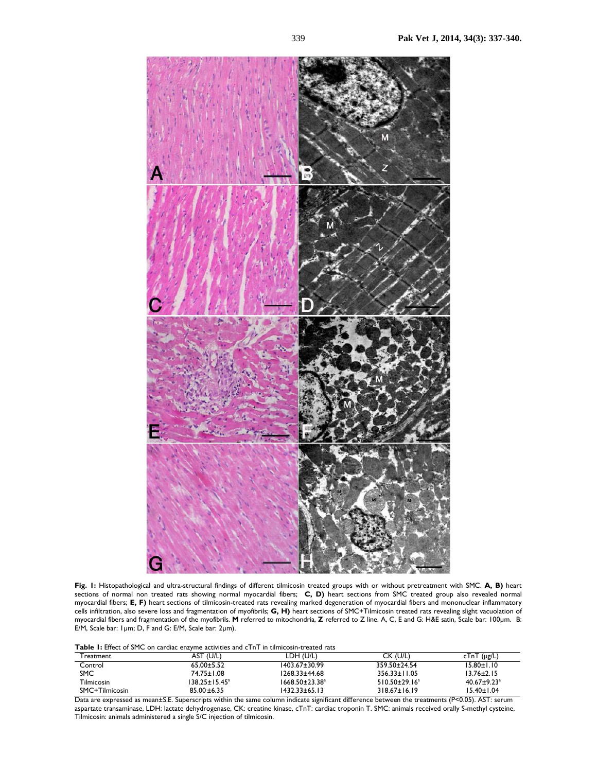

**Fig. 1:** Histopathological and ultra-structural findings of different tilmicosin treated groups with or without pretreatment with SMC. **A, B)** heart sections of normal non treated rats showing normal myocardial fibers; **C, D)** heart sections from SMC treated group also revealed normal myocardial fibers; **E, F)** heart sections of tilmicosin-treated rats revealing marked degeneration of myocardial fibers and mononuclear inflammatory cells infiltration, also severe loss and fragmentation of myofibrils; **G, H)** heart sections of SMC+Tilmicosin treated rats revealing slight vacuolation of myocardial fibers and fragmentation of the myofibrils. **M** referred to mitochondria, **Z** referred to Z line. A, C, E and G: H&E satin, Scale bar: 100µm. B: E/M, Scale bar:  $1 \mu m$ ; D,  $\overline{F}$  and G: E/M, Scale bar:  $2 \mu m$ ).

**Table 1:** Effect of SMC on cardiac enzyme activities and cTnT in tilmicosin-treated rats

| Freatment      | ' (U/L)<br>AST       | LDH (U/L)                        | CK (U/L)             | $cTnT(\mu g/L)$               |
|----------------|----------------------|----------------------------------|----------------------|-------------------------------|
| Control        | $65.00 \pm 5.52$     | 1403.67±30.99                    | 359.50±24.54         | $15.80 \pm 1.10$              |
| <b>SMC</b>     | 74.75±1.08           | 1268.33±44.68                    | $356.33 \pm 11.05$   | $13.76 \pm 2.15$              |
| Tilmicosin     | $138.25 \pm 15.45^a$ | $1668.50 \pm 23.38$ <sup>a</sup> | $510.50 \pm 29.16^a$ | $40.67 \pm 9.23$ <sup>a</sup> |
| SMC+Tilmicosin | $85.00 \pm 6.35$     | 1432.33±65.13                    | $318.67 \pm 16.19$   | $15.40 \pm 1.04$              |

Data are expressed as mean±S.E. Superscripts within the same column indicate significant difference between the treatments (P<0.05). AST: serum aspartate transaminase, LDH: lactate dehydrogenase, CK: creatine kinase, cTnT: cardiac troponin T. SMC: animals received orally S-methyl cysteine, Tilmicosin: animals administered a single S/C injection of tilmicosin.